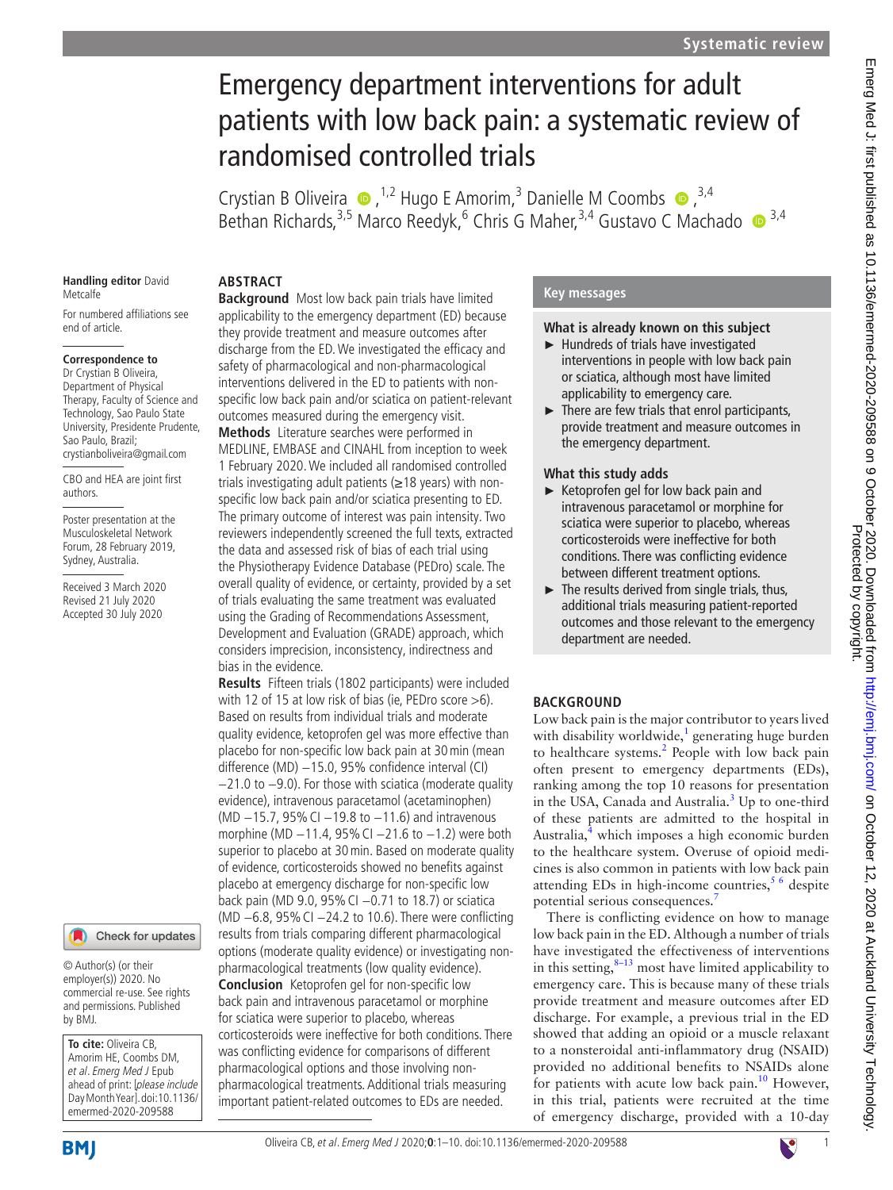# Emergency department interventions for adult patients with low back pain: a systematic review of randomised controlled trials

Crystian B Oliveira  $\bullet$ , <sup>1,2</sup> Hugo E Amorim,<sup>3</sup> Danielle M Coombs  $\bullet$ , <sup>3,4</sup> Bethan Richards,<sup>3,5</sup> Marco Reedyk,<sup>6</sup> Chris G Maher,<sup>3,4</sup> Gustavo C Machado <sup>13,4</sup>

#### **Handling editor** David Metcalfe

For numbered affiliations see end of article.

### **Correspondence to**

Dr Crystian B Oliveira, Department of Physical Therapy, Faculty of Science and Technology, Sao Paulo State University, Presidente Prudente, Sao Paulo, Brazil; crystianboliveira@gmail.com

CBO and HEA are joint first authors.

Poster presentation at the Musculoskeletal Network Forum, 28 February 2019, Sydney, Australia.

Received 3 March 2020 Revised 21 July 2020 Accepted 30 July 2020

### Check for updates

© Author(s) (or their employer(s)) 2020. No commercial re-use. See rights and permissions. Published by BMJ.

**To cite:** Oliveira CB, Amorim HE, Coombs DM, et al. Emerg Med J Epub ahead of print: [please include Day Month Year]. doi:10.1136/ emermed-2020-209588

### **ABSTRACT**

**Background** Most low back pain trials have limited applicability to the emergency department (ED) because they provide treatment and measure outcomes after discharge from the ED. We investigated the efficacy and safety of pharmacological and non-pharmacological interventions delivered in the ED to patients with nonspecific low back pain and/or sciatica on patient-relevant outcomes measured during the emergency visit.

**Methods** Literature searches were performed in MEDLINE, EMBASE and CINAHL from inception to week 1 February 2020. We included all randomised controlled trials investigating adult patients (≥18 years) with nonspecific low back pain and/or sciatica presenting to ED. The primary outcome of interest was pain intensity. Two reviewers independently screened the full texts, extracted the data and assessed risk of bias of each trial using the Physiotherapy Evidence Database (PEDro) scale. The overall quality of evidence, or certainty, provided by a set of trials evaluating the same treatment was evaluated using the Grading of Recommendations Assessment, Development and Evaluation (GRADE) approach, which considers imprecision, inconsistency, indirectness and bias in the evidence.

**Results** Fifteen trials (1802 participants) were included with 12 of 15 at low risk of bias (ie, PEDro score >6). Based on results from individual trials and moderate quality evidence, ketoprofen gel was more effective than placebo for non-specific low back pain at 30min (mean difference (MD) −15.0, 95% confidence interval (CI) −21.0 to −9.0). For those with sciatica (moderate quality evidence), intravenous paracetamol (acetaminophen) (MD −15.7, 95%CI −19.8 to −11.6) and intravenous morphine (MD −11.4, 95%CI −21.6 to −1.2) were both superior to placebo at 30min. Based on moderate quality of evidence, corticosteroids showed no benefits against placebo at emergency discharge for non-specific low back pain (MD 9.0, 95%CI −0.71 to 18.7) or sciatica (MD −6.8, 95%CI −24.2 to 10.6). There were conflicting results from trials comparing different pharmacological options (moderate quality evidence) or investigating nonpharmacological treatments (low quality evidence). **Conclusion** Ketoprofen gel for non-specific low back pain and intravenous paracetamol or morphine for sciatica were superior to placebo, whereas corticosteroids were ineffective for both conditions. There was conflicting evidence for comparisons of different pharmacological options and those involving nonpharmacological treatments. Additional trials measuring important patient-related outcomes to EDs are needed.

### **Key messages**

#### **What is already known on this subject**

- ► Hundreds of trials have investigated interventions in people with low back pain or sciatica, although most have limited applicability to emergency care.
- $\blacktriangleright$  There are few trials that enrol participants, provide treatment and measure outcomes in the emergency department.

### **What this study adds**

- ► Ketoprofen gel for low back pain and intravenous paracetamol or morphine for sciatica were superior to placebo, whereas corticosteroids were ineffective for both conditions. There was conflicting evidence between different treatment options.
- ► The results derived from single trials, thus, additional trials measuring patient-reported outcomes and those relevant to the emergency department are needed.

### **BACKGROUND**

Low back pain is the major contributor to years lived with disability worldwide, $\frac{1}{2}$  generating huge burden to healthcare systems.<sup>[2](#page-8-1)</sup> People with low back pain often present to emergency departments (EDs), ranking among the top 10 reasons for presentation in the USA, Canada and Australia.<sup>[3](#page-8-2)</sup> Up to one-third of these patients are admitted to the hospital in Australia,<sup>4</sup> which imposes a high economic burden to the healthcare system. Overuse of opioid medicines is also common in patients with low back pain attending EDs in high-income countries,  $5/6$  despite potential serious consequences.<sup>7</sup>

There is conflicting evidence on how to manage low back pain in the ED. Although a number of trials have investigated the effectiveness of interventions in this setting, $8-13$  most have limited applicability to emergency care. This is because many of these trials provide treatment and measure outcomes after ED discharge. For example, a previous trial in the ED showed that adding an opioid or a muscle relaxant to a nonsteroidal anti-inflammatory drug (NSAID) provided no additional benefits to NSAIDs alone for patients with acute low back pain.<sup>[10](#page-8-7)</sup> However, in this trial, patients were recruited at the time of emergency discharge, provided with a 10-day

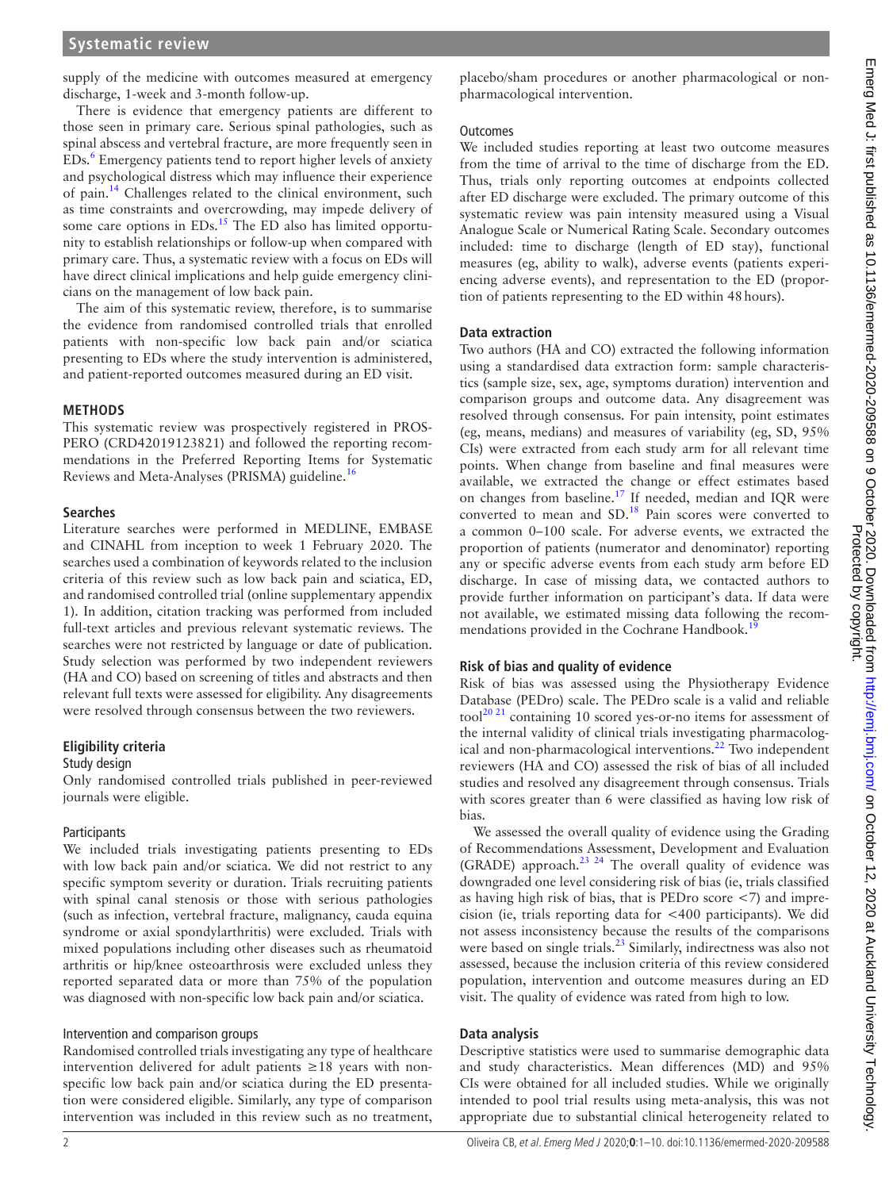supply of the medicine with outcomes measured at emergency discharge, 1-week and 3-month follow-up.

There is evidence that emergency patients are different to those seen in primary care. Serious spinal pathologies, such as spinal abscess and vertebral fracture, are more frequently seen in EDs.<sup>[6](#page-8-8)</sup> Emergency patients tend to report higher levels of anxiety and psychological distress which may influence their experience of pain.<sup>[14](#page-9-0)</sup> Challenges related to the clinical environment, such as time constraints and overcrowding, may impede delivery of some care options in  $EDs$ .<sup>[15](#page-9-1)</sup> The  $ED$  also has limited opportunity to establish relationships or follow-up when compared with primary care. Thus, a systematic review with a focus on EDs will have direct clinical implications and help guide emergency clinicians on the management of low back pain.

The aim of this systematic review, therefore, is to summarise the evidence from randomised controlled trials that enrolled patients with non-specific low back pain and/or sciatica presenting to EDs where the study intervention is administered, and patient-reported outcomes measured during an ED visit.

#### **METHODS**

This systematic review was prospectively registered in PROS-PERO (CRD42019123821) and followed the reporting recommendations in the Preferred Reporting Items for Systematic Reviews and Meta-Analyses (PRISMA) guideline.<sup>16</sup>

#### **Searches**

Literature searches were performed in MEDLINE, EMBASE and CINAHL from inception to week 1 February 2020. The searches used a combination of keywords related to the inclusion criteria of this review such as low back pain and sciatica, ED, and randomised controlled trial ([online supplementary appendix](https://dx.doi.org/10.1136/emermed-2020-209588)  [1](https://dx.doi.org/10.1136/emermed-2020-209588)). In addition, citation tracking was performed from included full-text articles and previous relevant systematic reviews. The searches were not restricted by language or date of publication. Study selection was performed by two independent reviewers (HA and CO) based on screening of titles and abstracts and then relevant full texts were assessed for eligibility. Any disagreements were resolved through consensus between the two reviewers.

#### **Eligibility criteria**

#### Study design

Only randomised controlled trials published in peer-reviewed journals were eligible.

#### **Participants**

We included trials investigating patients presenting to EDs with low back pain and/or sciatica. We did not restrict to any specific symptom severity or duration. Trials recruiting patients with spinal canal stenosis or those with serious pathologies (such as infection, vertebral fracture, malignancy, cauda equina syndrome or axial spondylarthritis) were excluded. Trials with mixed populations including other diseases such as rheumatoid arthritis or hip/knee osteoarthrosis were excluded unless they reported separated data or more than 75% of the population was diagnosed with non-specific low back pain and/or sciatica.

#### Intervention and comparison groups

Randomised controlled trials investigating any type of healthcare intervention delivered for adult patients  $\geq 18$  years with nonspecific low back pain and/or sciatica during the ED presentation were considered eligible. Similarly, any type of comparison intervention was included in this review such as no treatment,

placebo/sham procedures or another pharmacological or nonpharmacological intervention.

#### **Outcomes**

We included studies reporting at least two outcome measures from the time of arrival to the time of discharge from the ED. Thus, trials only reporting outcomes at endpoints collected after ED discharge were excluded. The primary outcome of this systematic review was pain intensity measured using a Visual Analogue Scale or Numerical Rating Scale. Secondary outcomes included: time to discharge (length of ED stay), functional measures (eg, ability to walk), adverse events (patients experiencing adverse events), and representation to the ED (proportion of patients representing to the ED within 48hours).

#### **Data extraction**

Two authors (HA and CO) extracted the following information using a standardised data extraction form: sample characteristics (sample size, sex, age, symptoms duration) intervention and comparison groups and outcome data. Any disagreement was resolved through consensus. For pain intensity, point estimates (eg, means, medians) and measures of variability (eg, SD, 95% CIs) were extracted from each study arm for all relevant time points. When change from baseline and final measures were available, we extracted the change or effect estimates based on changes from baseline[.17](#page-9-3) If needed, median and IQR were converted to mean and SD.<sup>[18](#page-9-4)</sup> Pain scores were converted to a common 0–100 scale. For adverse events, we extracted the proportion of patients (numerator and denominator) reporting any or specific adverse events from each study arm before ED discharge. In case of missing data, we contacted authors to provide further information on participant's data. If data were not available, we estimated missing data following the recommendations provided in the Cochrane Handbook.<sup>1</sup>

### **Risk of bias and quality of evidence**

Risk of bias was assessed using the Physiotherapy Evidence Database (PEDro) scale. The PEDro scale is a valid and reliable tool<sup>[20 21](#page-9-6)</sup> containing 10 scored yes-or-no items for assessment of the internal validity of clinical trials investigating pharmacological and non-pharmacological interventions.<sup>22</sup> Two independent reviewers (HA and CO) assessed the risk of bias of all included studies and resolved any disagreement through consensus. Trials with scores greater than 6 were classified as having low risk of bias.

We assessed the overall quality of evidence using the Grading of Recommendations Assessment, Development and Evaluation (GRADE) approach.[23 24](#page-9-8) The overall quality of evidence was downgraded one level considering risk of bias (ie, trials classified as having high risk of bias, that is PEDro score <7) and imprecision (ie, trials reporting data for <400 participants). We did not assess inconsistency because the results of the comparisons were based on single trials. $^{23}$  Similarly, indirectness was also not assessed, because the inclusion criteria of this review considered population, intervention and outcome measures during an ED visit. The quality of evidence was rated from high to low.

#### **Data analysis**

Descriptive statistics were used to summarise demographic data and study characteristics. Mean differences (MD) and 95% CIs were obtained for all included studies. While we originally intended to pool trial results using meta-analysis, this was not appropriate due to substantial clinical heterogeneity related to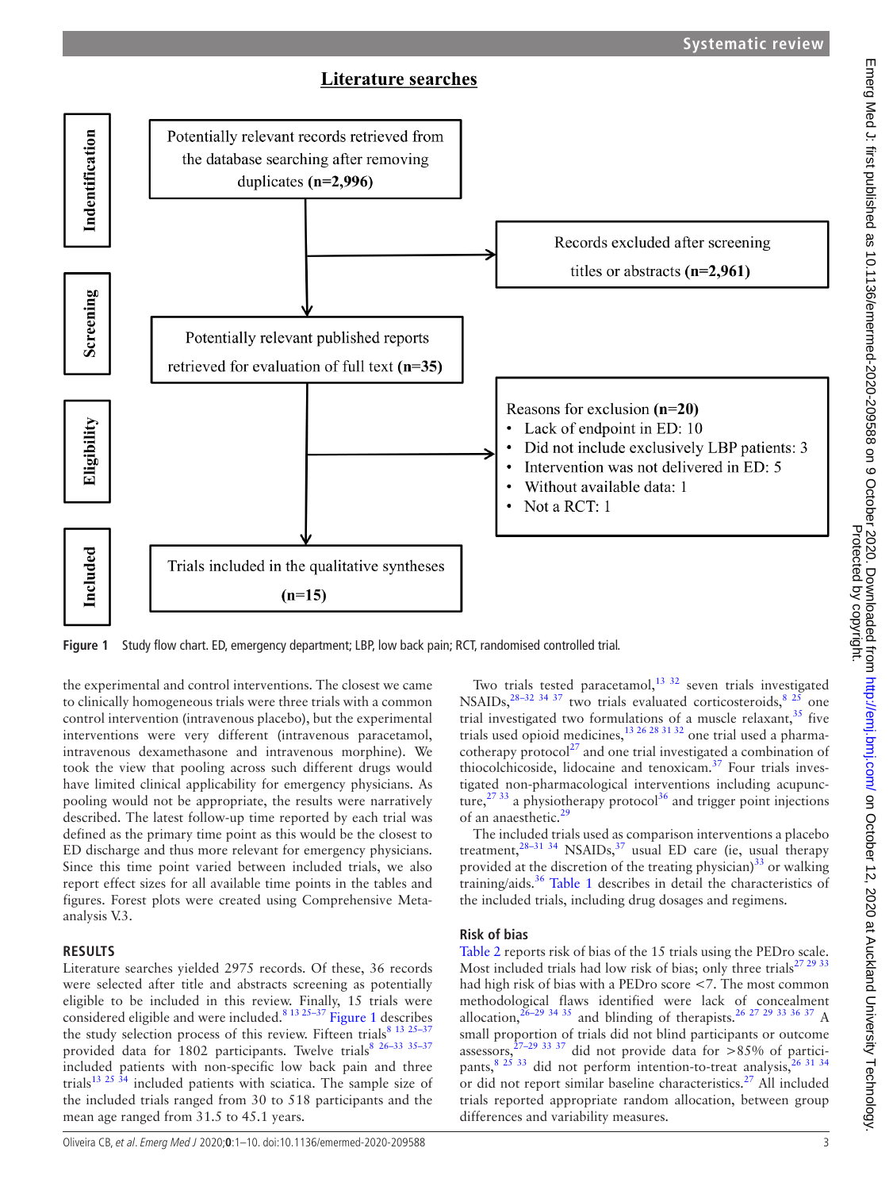### **Literature searches**



<span id="page-2-0"></span>**Figure 1** Study flow chart. ED, emergency department; LBP, low back pain; RCT, randomised controlled trial.

the experimental and control interventions. The closest we came to clinically homogeneous trials were three trials with a common control intervention (intravenous placebo), but the experimental interventions were very different (intravenous paracetamol, intravenous dexamethasone and intravenous morphine). We took the view that pooling across such different drugs would have limited clinical applicability for emergency physicians. As pooling would not be appropriate, the results were narratively described. The latest follow-up time reported by each trial was defined as the primary time point as this would be the closest to ED discharge and thus more relevant for emergency physicians. Since this time point varied between included trials, we also report effect sizes for all available time points in the tables and figures. Forest plots were created using Comprehensive Metaanalysis V.3.

### **RESULTS**

Literature searches yielded 2975 records. Of these, 36 records were selected after title and abstracts screening as potentially eligible to be included in this review. Finally, 15 trials were considered eligible and were included.[8 13 25–37](#page-8-6) [Figure](#page-2-0) 1 describes the study selection process of this review. Fifteen trials<sup>8 13 25-3</sup> provided data for 1802 participants. Twelve trials<sup>8 26-33 35-37</sup> included patients with non-specific low back pain and three trials<sup>13 25 34</sup> included patients with sciatica. The sample size of the included trials ranged from 30 to 518 participants and the mean age ranged from 31.5 to 45.1 years.

Two trials tested paracetamol, $13 \frac{32}{3}$  seven trials investigated NSAIDs,  $^{28-32}$  34 37 two trials evaluated corticosteroids,  $^{8}$   $^{25}$  one trial investigated two formulations of a muscle relaxant, $35$  five trials used opioid medicines,  $^{13}$   $^{26}$   $^{28}$   $^{31}$   $^{32}$  one trial used a pharmacotherapy  $\text{protocol}^{27}$  and one trial investigated a combination of thiocolchicoside, lidocaine and tenoxicam.<sup>37</sup> Four trials investigated non-pharmacological interventions including acupuncture,<sup>27 33</sup> a physiotherapy protocol<sup>36</sup> and trigger point injections of an anaesthetic.[29](#page-9-15)

The included trials used as comparison interventions a placebo treatment,<sup>28-31 34</sup> NSAIDs,<sup>[37](#page-9-13)</sup> usual ED care (ie, usual therapy provided at the discretion of the treating physician) $33$  or walking training/aids.[36](#page-9-14) [Table](#page-3-0) 1 describes in detail the characteristics of the included trials, including drug dosages and regimens.

### **Risk of bias**

[Table](#page-5-0) 2 reports risk of bias of the 15 trials using the PEDro scale. Most included trials had low risk of bias; only three trials<sup>27</sup> <sup>29</sup> <sup>33</sup> had high risk of bias with a PEDro score <7. The most common methodological flaws identified were lack of concealment allocation,  $26-29\frac{34\frac{35}{3}}{31}$  and blinding of therapists.<sup>[26 27 29 33 36 37](#page-9-17)</sup> A small proportion of trials did not blind participants or outcome assessors,<sup>[27–29 33 37](#page-9-12)</sup> did not provide data for  $>85\%$  of participants,  $8^{25}$  33 did not perform intention-to-treat analysis,  $26^{31}$  34 or did not report similar baseline characteristics.<sup>27</sup> All included trials reported appropriate random allocation, between group differences and variability measures.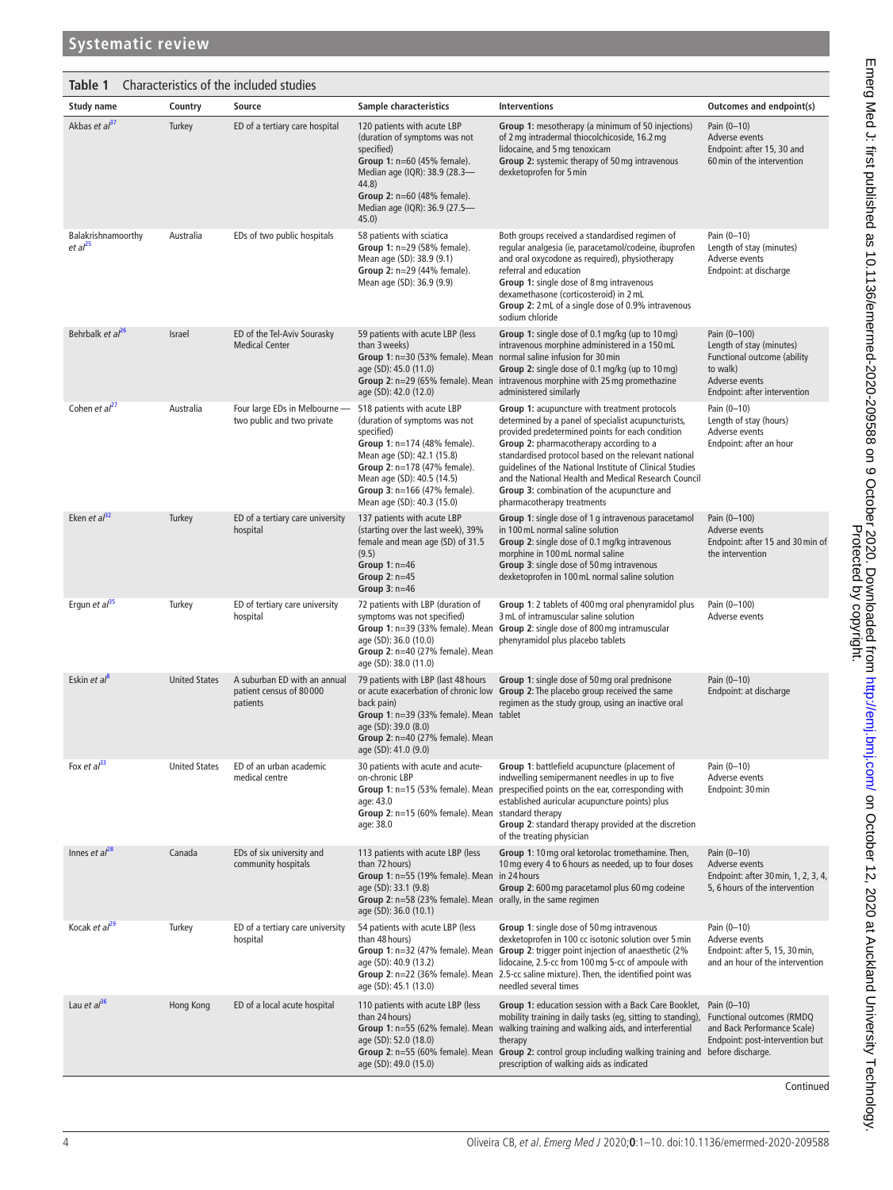<span id="page-3-0"></span>

| Table 1                                   |                      | Characteristics of the included studies                             |                                                                                                                                                                                                                                                                      |                                                                                                                                                                                                                                                                                                                                                                                                                                                              |                                                                                                                                       |
|-------------------------------------------|----------------------|---------------------------------------------------------------------|----------------------------------------------------------------------------------------------------------------------------------------------------------------------------------------------------------------------------------------------------------------------|--------------------------------------------------------------------------------------------------------------------------------------------------------------------------------------------------------------------------------------------------------------------------------------------------------------------------------------------------------------------------------------------------------------------------------------------------------------|---------------------------------------------------------------------------------------------------------------------------------------|
| <b>Study name</b>                         | Country              | Source                                                              | Sample characteristics                                                                                                                                                                                                                                               | <b>Interventions</b>                                                                                                                                                                                                                                                                                                                                                                                                                                         | Outcomes and endpoint(s)                                                                                                              |
| Akbas et al <sup>37</sup>                 | Turkey               | ED of a tertiary care hospital                                      | 120 patients with acute LBP<br>(duration of symptoms was not<br>specified)<br>Group 1: $n=60$ (45% female).<br>Median age (IQR): 38.9 (28.3-<br>44.8)<br>Group 2: n=60 (48% female).<br>Median age (IQR): 36.9 (27.5-<br>45.0)                                       | Group 1: mesotherapy (a minimum of 50 injections)<br>of 2 mg intradermal thiocolchicoside, 16.2 mg<br>lidocaine, and 5 mg tenoxicam<br>Group 2: systemic therapy of 50 mg intravenous<br>dexketoprofen for 5 min                                                                                                                                                                                                                                             | Pain (0-10)<br>Adverse events<br>Endpoint: after 15, 30 and<br>60 min of the intervention                                             |
| Balakrishnamoorthy<br>et al <sup>25</sup> | Australia            | EDs of two public hospitals                                         | 58 patients with sciatica<br>Group 1: n=29 (58% female).<br>Mean age (SD): 38.9 (9.1)<br>Group 2: n=29 (44% female).<br>Mean age (SD): 36.9 (9.9)                                                                                                                    | Both groups received a standardised regimen of<br>regular analgesia (ie, paracetamol/codeine, ibuprofen<br>and oral oxycodone as required), physiotherapy<br>referral and education<br>Group 1: single dose of 8 mg intravenous<br>dexamethasone (corticosteroid) in 2 mL<br>Group 2: 2 mL of a single dose of 0.9% intravenous<br>sodium chloride                                                                                                           | Pain (0-10)<br>Length of stay (minutes)<br>Adverse events<br>Endpoint: at discharge                                                   |
| Behrbalk et al <sup>26</sup>              | Israel               | ED of the Tel-Aviv Sourasky<br><b>Medical Center</b>                | 59 patients with acute LBP (less<br>than 3 weeks)<br>Group 1: n=30 (53% female). Mean<br>age (SD): 45.0 (11.0)<br>Group 2: $n=29$ (65% female). Mean<br>age (SD): 42.0 (12.0)                                                                                        | Group 1: single dose of 0.1 mg/kg (up to 10 mg)<br>intravenous morphine administered in a 150 mL<br>normal saline infusion for 30 min<br>Group 2: single dose of 0.1 mg/kg (up to 10 mg)<br>intravenous morphine with 25 mg promethazine<br>administered similarly                                                                                                                                                                                           | Pain (0-100)<br>Length of stay (minutes)<br>Functional outcome (ability<br>to walk)<br>Adverse events<br>Endpoint: after intervention |
| Cohen et $al27$                           | Australia            | Four large EDs in Melbourne -<br>two public and two private         | 518 patients with acute LBP<br>(duration of symptoms was not<br>specified)<br>Group 1: n=174 (48% female).<br>Mean age (SD): 42.1 (15.8)<br>Group 2: n=178 (47% female).<br>Mean age (SD): 40.5 (14.5)<br>Group 3: n=166 (47% female).<br>Mean age (SD): 40.3 (15.0) | Group 1: acupuncture with treatment protocols<br>determined by a panel of specialist acupuncturists,<br>provided predetermined points for each condition<br>Group 2: pharmacotherapy according to a<br>standardised protocol based on the relevant national<br>guidelines of the National Institute of Clinical Studies<br>and the National Health and Medical Research Council<br>Group 3: combination of the acupuncture and<br>pharmacotherapy treatments | Pain (0-10)<br>Length of stay (hours)<br>Adverse events<br>Endpoint: after an hour                                                    |
| Eken et $al^{32}$                         | Turkey               | ED of a tertiary care university<br>hospital                        | 137 patients with acute LBP<br>(starting over the last week), 39%<br>female and mean age (SD) of 31.5<br>(9.5)<br>Group $1: n=46$<br>Group $2: n=45$<br>Group $3: n=46$                                                                                              | Group 1: single dose of 1 g intravenous paracetamol<br>in 100 mL normal saline solution<br>Group 2: single dose of 0.1 mg/kg intravenous<br>morphine in 100 mL normal saline<br>Group 3: single dose of 50 mg intravenous<br>dexketoprofen in 100 mL normal saline solution                                                                                                                                                                                  | Pain (0-100)<br>Adverse events<br>Endpoint: after 15 and 30 min of<br>the intervention                                                |
| Ergun et al <sup>35</sup>                 | Turkey               | ED of tertiary care university<br>hospital                          | 72 patients with LBP (duration of<br>symptoms was not specified)<br>age (SD): 36.0 (10.0)<br>Group 2: n=40 (27% female). Mean<br>age (SD): 38.0 (11.0)                                                                                                               | Group 1: 2 tablets of 400 mg oral phenyramidol plus<br>3 mL of intramuscular saline solution<br>Group 1: n=39 (33% female). Mean Group 2: single dose of 800 mg intramuscular<br>phenyramidol plus placebo tablets                                                                                                                                                                                                                                           | Pain (0-100)<br>Adverse events                                                                                                        |
| Eskin et al <sup>8</sup>                  | <b>United States</b> | A suburban ED with an annual<br>patient census of 80000<br>patients | 79 patients with LBP (last 48 hours<br>back pain)<br>Group 1: n=39 (33% female). Mean tablet<br>age (SD): 39.0 (8.0)<br>Group 2: n=40 (27% female). Mean<br>age (SD): 41.0 (9.0)                                                                                     | Group 1: single dose of 50 mg oral prednisone<br>or acute exacerbation of chronic low Group 2: The placebo group received the same<br>regimen as the study group, using an inactive oral                                                                                                                                                                                                                                                                     | Pain (0-10)<br>Endpoint: at discharge                                                                                                 |
| Fox et $a^{33}$                           | <b>United States</b> | ED of an urban academic<br>medical centre                           | 30 patients with acute and acute-<br>on-chronic LBP<br>Group 1: n=15 (53% female). Mean<br>age: 43.0<br>Group 2: n=15 (60% female). Mean<br>age: 38.0                                                                                                                | Group 1: battlefield acupuncture (placement of<br>indwelling semipermanent needles in up to five<br>prespecified points on the ear, corresponding with<br>established auricular acupuncture points) plus<br>standard therapy<br>Group 2: standard therapy provided at the discretion<br>of the treating physician                                                                                                                                            | Pain (0-10)<br>Adverse events<br>Endpoint: 30 min                                                                                     |
| Innes et $al^{28}$                        | Canada               | EDs of six university and<br>community hospitals                    | 113 patients with acute LBP (less<br>than 72 hours)<br>Group 1: n=55 (19% female). Mean<br>age (SD): 33.1 (9.8)<br>Group 2: n=58 (23% female). Mean orally, in the same regimen<br>age (SD): 36.0 (10.1)                                                             | Group 1: 10 mg oral ketorolac tromethamine. Then,<br>10 mg every 4 to 6 hours as needed, up to four doses<br>in 24 hours<br>Group 2: 600 mg paracetamol plus 60 mg codeine                                                                                                                                                                                                                                                                                   | Pain (0-10)<br>Adverse events<br>Endpoint: after 30 min, 1, 2, 3, 4,<br>5, 6 hours of the intervention                                |
| Kocak et al <sup>29</sup>                 | Turkey               | ED of a tertiary care university<br>hospital                        | 54 patients with acute LBP (less<br>than 48 hours)<br>Group 1: $n=32$ (47% female). Mean<br>age (SD): 40.9 (13.2)<br>Group 2: n=22 (36% female). Mean<br>age (SD): 45.1 (13.0)                                                                                       | Group 1: single dose of 50 mg intravenous<br>dexketoprofen in 100 cc isotonic solution over 5 min<br>Group 2: trigger point injection of anaesthetic (2%<br>lidocaine, 2.5-cc from 100 mg 5-cc of ampoule with<br>2.5-cc saline mixture). Then, the identified point was<br>needled several times                                                                                                                                                            | Pain (0-10)<br>Adverse events<br>Endpoint: after 5, 15, 30 min,<br>and an hour of the intervention                                    |
| Lau et a $l^{36}$                         | Hong Kong            | ED of a local acute hospital                                        | 110 patients with acute LBP (less<br>than 24 hours)<br>Group 1: n=55 (62% female). Mean<br>age (SD): 52.0 (18.0)<br>age (SD): 49.0 (15.0)                                                                                                                            | Group 1: education session with a Back Care Booklet,<br>mobility training in daily tasks (eg, sitting to standing),<br>walking training and walking aids, and interferential<br>therapy<br>Group 2: n=55 (60% female). Mean Group 2: control group including walking training and before discharge.<br>prescription of walking aids as indicated                                                                                                             | Pain (0-10)<br>Functional outcomes (RMDQ<br>and Back Performance Scale)<br>Endpoint: post-intervention but                            |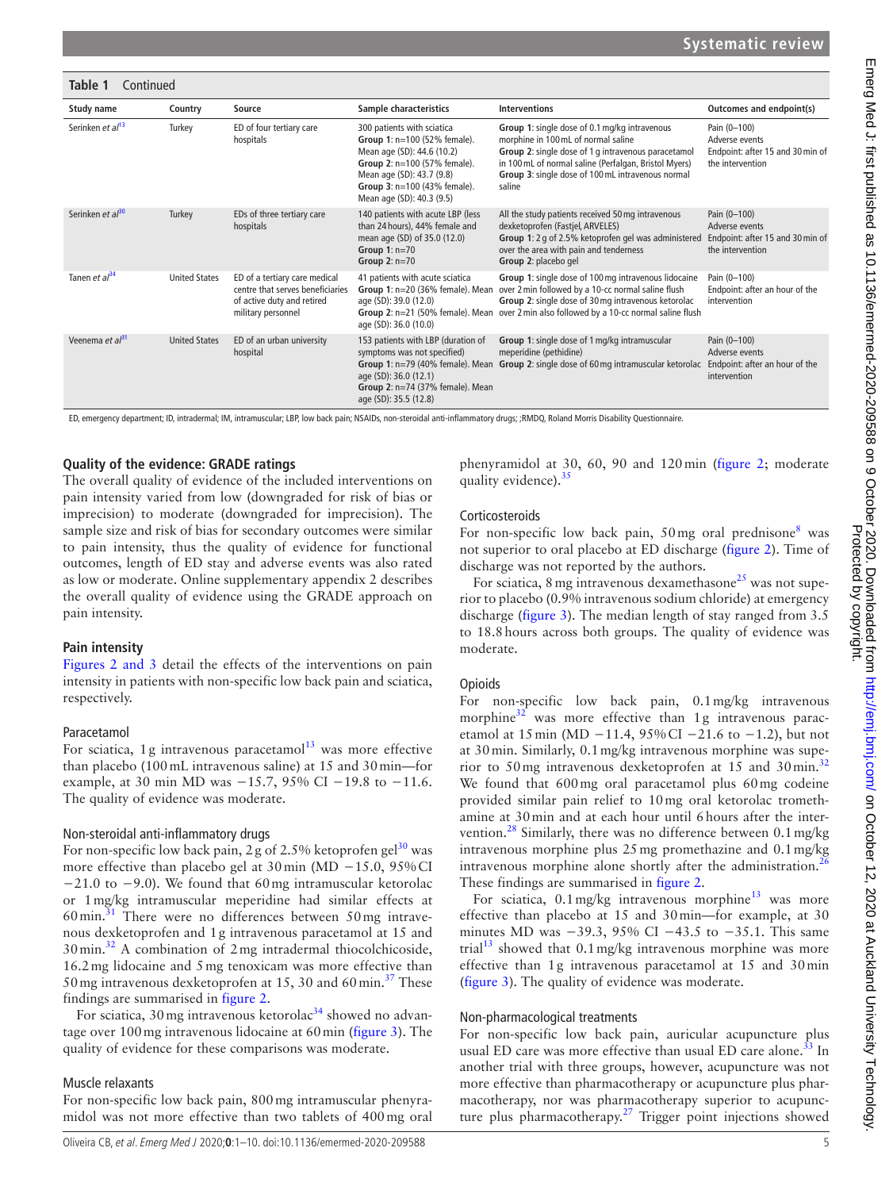#### **Study name Country Source Sample characteristics Interventions Outcomes and endpoint(s)** Serinken *et al*<sup>[13](#page-9-9)</sup> Turkey ED of four tertiary care hospitals 300 patients with sciatica **Group 1**: n=100 (52% female). Mean age (SD): 44.6 (10.2) **Group 2**: n=100 (57% female). Mean age (SD): 43.7 (9.8) **Group 3**: n=100 (43% female). Mean age (SD): 40.3 (9.5) **Group 1**: single dose of 0.1mg/kg intravenous morphine in 100mL of normal saline **Group 2**: single dose of 1 g intravenous paracetamol in 100mL of normal saline (Perfalgan, Bristol Myers) **Group 3**: single dose of 100mL intravenous normal saline Pain (0–100) Adverse events Endpoint: after 15 and 30min of the intervention Serinken *et al*<sup>[30](#page-9-20)</sup> Turkey EDs of three tertiary care hospitals 140 patients with acute LBP (less than 24 hours), 44% female and mean age (SD) of 35.0 (12.0) **Group 1**: n=70 **Group 2**: n=70 All the study patients received 50mg intravenous dexketoprofen (Fastjel, ARVELES) **Group 1**: 2 g of 2.5% ketoprofen gel was administered over the area with pain and tenderness **Group 2**: placebo gel Pain (0–100) Adverse events Endpoint: after 15 and 30min of the intervention Tanen *et al*<sup>[34](#page-9-22)</sup> United States ED of a tertiary care medical centre that serves beneficiaries of active duty and retired military personnel 41 patients with acute sciatica **Group 1**: n=20 (36% female). Mean age (SD): 39.0 (12.0) **Group 2**: n=21 (50% female). Mean age (SD): 36.0 (10.0) **Group 1**: single dose of 100mg intravenous lidocaine over 2min followed by a 10-cc normal saline flush **Group 2**: single dose of 30mg intravenous ketorolac over 2min also followed by a 10-cc normal saline flush Pain (0–100) Endpoint: after an hour of the intervention Veenema *et al*<sup>[31](#page-9-21)</sup> United States ED of an urban university hospital 153 patients with LBP (duration of symptoms was not specified) **Group 1**: n=79 (40% female). Mean age (SD): 36.0 (12.1) **Group 2**: n=74 (37% female). Mean age (SD): 35.5 (12.8) **Group 1**: single dose of 1mg/kg intramuscular meperidine (pethidine) **Group 2**: single dose of 60mg intramuscular ketorolac Pain (0–100) Adverse events Endpoint: after an hour of the intervention **Table 1** Continued

ED, emergency department; ID, intradermal; IM, intramuscular; LBP, low back pain; NSAIDs, non-steroidal anti-inflammatory drugs; ;RMDQ, Roland Morris Disability Questionnaire.

#### **Quality of the evidence: GRADE ratings**

The overall quality of evidence of the included interventions on pain intensity varied from low (downgraded for risk of bias or imprecision) to moderate (downgraded for imprecision). The sample size and risk of bias for secondary outcomes were similar to pain intensity, thus the quality of evidence for functional outcomes, length of ED stay and adverse events was also rated as low or moderate. [Online supplementary appendix 2](https://dx.doi.org/10.1136/emermed-2020-209588) describes the overall quality of evidence using the GRADE approach on pain intensity.

#### **Pain intensity**

Figures [2 and 3](#page-6-0) detail the effects of the interventions on pain intensity in patients with non-specific low back pain and sciatica, respectively.

#### Paracetamol

For sciatica, 1g intravenous paracetamol $13$  was more effective than placebo (100mL intravenous saline) at 15 and 30min—for example, at 30 min MD was −15.7, 95% CI −19.8 to −11.6. The quality of evidence was moderate.

#### Non-steroidal anti-inflammatory drugs

For non-specific low back pain, 2 g of 2.5% ketoprofen gel<sup>30</sup> was more effective than placebo gel at 30min (MD −15.0, 95%CI −21.0 to −9.0). We found that 60mg intramuscular ketorolac or 1mg/kg intramuscular meperidine had similar effects at  $60$  min.<sup>[31](#page-9-21)</sup> There were no differences between  $50$  mg intravenous dexketoprofen and 1g intravenous paracetamol at 15 and 30min.[32](#page-9-19) A combination of 2mg intradermal thiocolchicoside, 16.2mg lidocaine and 5mg tenoxicam was more effective than 50 mg intravenous dexketoprofen at 15, 30 and 60 min.<sup>[37](#page-9-13)</sup> These findings are summarised in [figure](#page-6-0) 2.

For sciatica, 30 mg intravenous ketorolac<sup>34</sup> showed no advantage over 100mg intravenous lidocaine at 60min ([figure](#page-6-1) 3). The quality of evidence for these comparisons was moderate.

#### Muscle relaxants

For non-specific low back pain, 800mg intramuscular phenyramidol was not more effective than two tablets of 400mg oral

phenyramidol at 30, 60, 90 and 120min [\(figure](#page-6-0) 2; moderate quality evidence).<sup>[35](#page-9-11)</sup>

#### Corticosteroids

For non-specific low back pain,  $50 \text{ mg}$  oral prednisone<sup>[8](#page-8-6)</sup> was not superior to oral placebo at ED discharge ([figure](#page-6-0) 2). Time of discharge was not reported by the authors.

For sciatica, 8 mg intravenous dexamethasone<sup>[25](#page-9-18)</sup> was not superior to placebo (0.9% intravenous sodium chloride) at emergency discharge [\(figure](#page-6-1) 3). The median length of stay ranged from 3.5 to 18.8hours across both groups. The quality of evidence was moderate.

#### **Opioids**

For non-specific low back pain, 0.1mg/kg intravenous morphine $32$  was more effective than 1g intravenous paracetamol at 15 min (MD −11.4, 95% CI −21.6 to −1.2), but not at 30min. Similarly, 0.1mg/kg intravenous morphine was superior to 50 mg intravenous dexketoprofen at  $15$  and 30 min.<sup>[32](#page-9-19)</sup> We found that 600 mg oral paracetamol plus 60 mg codeine provided similar pain relief to 10mg oral ketorolac tromethamine at 30min and at each hour until 6hours after the intervention.<sup>28</sup> Similarly, there was no difference between  $0.1 \text{ mg/kg}$ intravenous morphine plus 25mg promethazine and 0.1mg/kg intravenous morphine alone shortly after the administration.<sup>2</sup> These findings are summarised in [figure](#page-6-0) 2.

For sciatica,  $0.1 \text{ mg/kg}$  intravenous morphine<sup>13</sup> was more effective than placebo at 15 and 30min—for example, at 30 minutes MD was  $-39.3$ , 95% CI  $-43.5$  to  $-35.1$ . This same trial<sup>13</sup> showed that  $0.1 \text{ mg/kg}$  intravenous morphine was more effective than 1g intravenous paracetamol at 15 and 30min ([figure](#page-6-1) 3). The quality of evidence was moderate.

#### Non-pharmacological treatments

For non-specific low back pain, auricular acupuncture plus usual ED care was more effective than usual ED care alone.<sup>33</sup> In another trial with three groups, however, acupuncture was not more effective than pharmacotherapy or acupuncture plus pharmacotherapy, nor was pharmacotherapy superior to acupunc-ture plus pharmacotherapy.<sup>[27](#page-9-12)</sup> Trigger point injections showed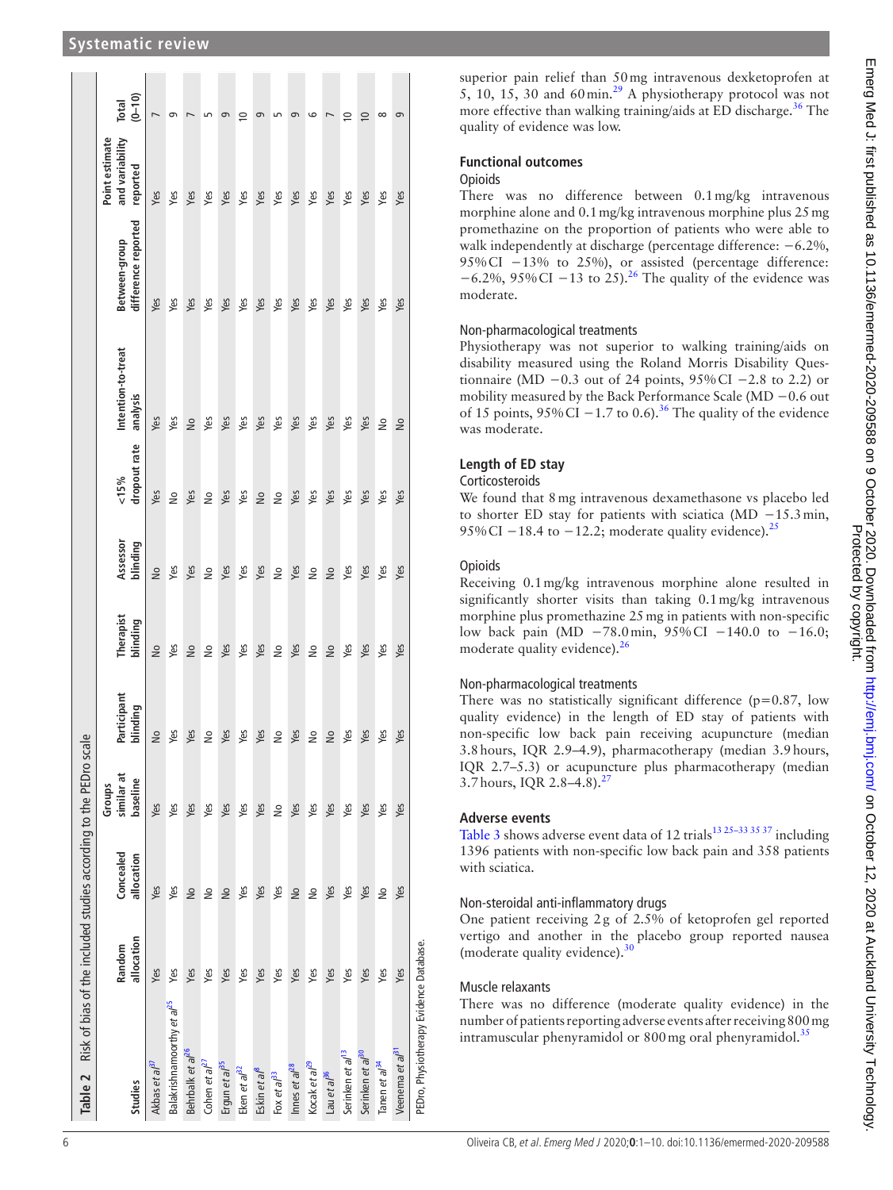| Table 2 Risk of bias of the included studies according to the PEDro scale |                      |                         |                                  |                         |                       |                      |                             |                                |                                      |                                               |                     |
|---------------------------------------------------------------------------|----------------------|-------------------------|----------------------------------|-------------------------|-----------------------|----------------------|-----------------------------|--------------------------------|--------------------------------------|-----------------------------------------------|---------------------|
| Studies                                                                   | allocation<br>Random | Concealed<br>allocation | similar at<br>baseline<br>Groups | Participant<br>blinding | Therapist<br>blinding | Assessor<br>blinding | dropout rate<br>${}_{15\%}$ | Intention-to-treat<br>analysis | difference reported<br>Between-group | and variability<br>Point estimate<br>reported | $(0 - 10)$<br>Total |
| Akbas et al <sup>37</sup>                                                 | Yes                  | Yes                     | Yes                              | $\frac{1}{2}$           | $\frac{1}{2}$         | $\frac{1}{2}$        | Yes                         | Yes                            | Yes                                  | Yes                                           |                     |
| Balakrishnamoorthy et al <sup>25</sup>                                    | Yes                  | Yes                     | Yes                              | Yes                     | Yes                   | Yes                  | $\tilde{z}$                 | Yes                            | Yes                                  | Yes                                           | െ                   |
| Behrbalk et al <sup>26</sup>                                              | Yes                  | $\frac{1}{2}$           | Yes                              | Yes                     | $\frac{1}{2}$         | Yes                  | Yes                         | $\geq$                         | Yes                                  | Yes                                           |                     |
| Cohen et al <sup>27</sup>                                                 | Yes                  | $\frac{1}{2}$           | Yes                              | $\geq$                  | $\frac{1}{2}$         | $\frac{1}{2}$        | $\tilde{z}$                 | Yes                            | Yes                                  | Yes                                           | S                   |
| Ergun et al <sup>35</sup>                                                 | Yes                  | $\frac{1}{2}$           | Yes                              | Yes                     | Yes                   | Yes                  | Yes                         | Yes                            | Yes                                  | Yes                                           | თ                   |
| Eken et al <sup>32</sup>                                                  | Yes                  | Yes                     | Yes                              | Yes                     | Yes                   | Yes                  | Yes                         | Yes                            | Yes                                  | Yes                                           | $\supseteq$         |
| Eskin et al <sup>8</sup>                                                  | Yes                  | Yes                     | Yes                              | Yes                     | Yes                   | Yes                  | $\geq$                      | Yes                            | Yes                                  | Yes                                           | 9                   |
| Fox et $a^{33}$                                                           | Yes                  | Yes                     | $\frac{1}{2}$                    | 2                       | $\geq$                | $\frac{1}{2}$        | $\tilde{z}$                 | Yes                            | Yes                                  | Yes                                           | LO                  |
| Innes et al <sup>28</sup>                                                 | Yes                  | $\frac{1}{2}$           | Yes                              | Yes                     | Yes                   | Yes                  | Yes                         | Yes                            | Yes                                  | Yes                                           | 9                   |
| Kocak et al <sup>29</sup>                                                 | Yes                  | å                       | Yes                              | $\geq$                  | $\geq$                | $\frac{1}{2}$        | Yes                         | Yes                            | Yes                                  | Yes                                           | စ                   |
| Lau et al <sup>36</sup>                                                   | Yes                  | Yes                     | Yes                              | $\frac{1}{2}$           | $\frac{1}{2}$         | $\frac{1}{2}$        | Yes                         | Yes                            | Yes                                  | Yes                                           | $\overline{ }$      |
| Serinken et al <sup>13</sup>                                              | Yes                  | Yes                     | Yes                              | yes                     | Yes                   | Yes                  | Yes                         | Yes                            | Yes                                  | Yes                                           | $\approx$           |
| Serinken et al <sup>30</sup>                                              | Yes                  | Yes                     | Yes                              | Yes                     | Yes                   | Yes                  | Yes                         | Yes                            | Yes                                  | Yes                                           | $\overline{0}$      |
| Tanen et al <sup>34</sup>                                                 | Yes                  | å                       | Yes                              | yes                     | yes                   | yes                  | Yes                         | å                              | yes                                  | Yes                                           | $\infty$            |
| Veenema et al <sup>at</sup>                                               | Yes                  | Yes                     | Yes                              | Yes                     | Yes                   | Yes                  | Yes                         | $\frac{1}{2}$                  | Yes                                  | Yes                                           | 9                   |
| PEDro, Physiotherapy Evidence Database.                                   |                      |                         |                                  |                         |                       |                      |                             |                                |                                      |                                               |                     |

superior pain relief than 50mg intravenous dexketoprofen at  $5, 10, 15, 30$  and 60 min.<sup>29</sup> A physiotherapy protocol was not more effective than walking training/aids at ED discharge.<sup>36</sup> The quality of evidence was low.

## **Functional outcomes**

### **Opioids**

There was no difference between 0.1mg/kg intravenous morphine alone and 0.1mg/kg intravenous morphine plus 25mg promethazine on the proportion of patients who were able to walk independently at discharge (percentage difference: −6.2%, 95%CI −13% to 25%), or assisted (percentage difference:  $-6.2\%$ , 95% CI  $-13$  to 25).<sup>26</sup> The quality of the evidence was moderate.

### Non-pharmacological treatments

Physiotherapy was not superior to walking training/aids on disability measured using the Roland Morris Disability Questionnaire (MD  $-0.3$  out of 24 points, 95%CI  $-2.8$  to 2.2) or mobility measured by the Back Performance Scale (MD −0.6 out of 15 points,  $95\%$  CI −1.7 to 0.6).<sup>[36](#page-9-14)</sup> The quality of the evidence was moderate.

### **Length of ED stay**

#### Corticosteroids

We found that 8mg intravenous dexamethasone vs placebo led to shorter ED stay for patients with sciatica (MD −15.3min, 95% CI  $-18.4$  to  $-12.2$ ; moderate quality evidence).<sup>[25](#page-9-18)</sup>

### **Opioids**

Receiving 0.1mg/kg intravenous morphine alone resulted in significantly shorter visits than taking 0.1mg/kg intravenous morphine plus promethazine 25mg in patients with non-specific low back pain (MD −78.0min, 95%CI −140.0 to −16.0; moderate quality evidence).<sup>26</sup>

### Non-pharmacological treatments

There was no statistically significant difference ( $p=0.87$ , low quality evidence) in the length of ED stay of patients with non-specific low back pain receiving acupuncture (median 3.8hours, IQR 2.9–4.9), pharmacotherapy (median 3.9hours, IQR 2.7–5.3) or acupuncture plus pharmacotherapy (median 3.7 hours, IQR 2.8-4.8).<sup>27</sup>

### **Adverse events**

[Table](#page-7-0) 3 shows adverse event data of 12 trials<sup>13 25-33 35 37</sup> including 1396 patients with non-specific low back pain and 358 patients with sciatica.

### Non-steroidal anti-inflammatory drugs

One patient receiving 2g of 2.5% of ketoprofen gel reported vertigo and another in the placebo group reported nausea (moderate quality evidence). $\frac{3}{2}$ 

### Muscle relaxants

<span id="page-5-0"></span>There was no difference (moderate quality evidence) in the number of patients reporting adverse events after receiving 800mg intramuscular phenyramidol or  $800$  mg oral phenyramidol.<sup>[35](#page-9-11)</sup>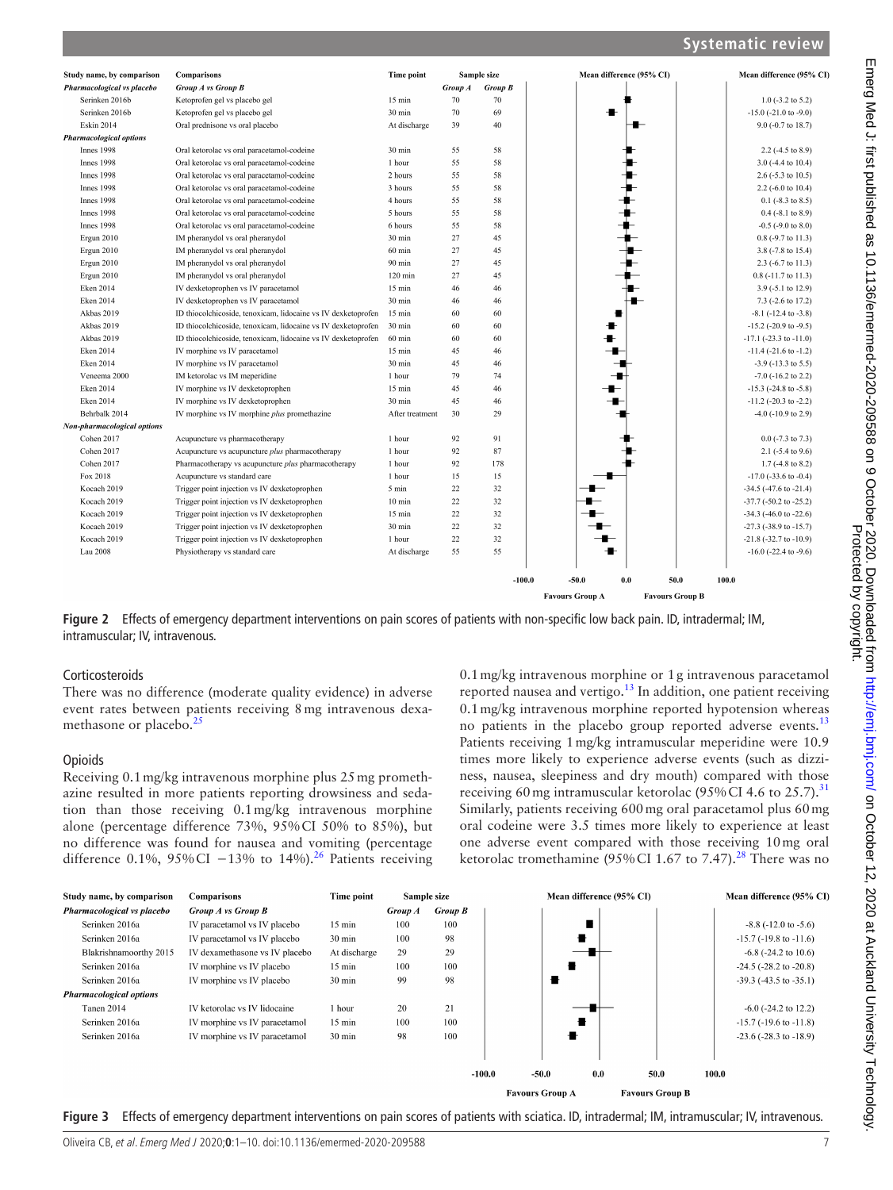| Study name, by comparison      | <b>Comparisons</b>                                            | Time point        |         | Sample size | Mean difference (95% CI) | Mean difference (95% CI)       |
|--------------------------------|---------------------------------------------------------------|-------------------|---------|-------------|--------------------------|--------------------------------|
| Pharmacological vs placebo     | <b>Group A vs Group B</b>                                     |                   | Group A | Group B     |                          |                                |
| Serinken 2016b                 | Ketoprofen gel vs placebo gel                                 | $15$ min          | 70      | 70          |                          | $1.0$ (-3.2 to 5.2)            |
| Serinken 2016b                 | Ketoprofen gel vs placebo gel                                 | 30 min            | 70      | 69          |                          | $-15.0$ ( $-21.0$ to $-9.0$ )  |
| <b>Eskin 2014</b>              | Oral prednisone vs oral placebo                               | At discharge      | 39      | 40          |                          | 9.0 (-0.7 to 18.7)             |
| <b>Pharmacological options</b> |                                                               |                   |         |             |                          |                                |
| Innes 1998                     | Oral ketorolac vs oral paracetamol-codeine                    | 30 min            | 55      | 58          |                          | $2.2$ (-4.5 to 8.9)            |
| <b>Innes 1998</b>              | Oral ketorolac vs oral paracetamol-codeine                    | 1 hour            | 55      | 58          |                          | $3.0$ (-4.4 to 10.4)           |
| Innes 1998                     | Oral ketorolac vs oral paracetamol-codeine                    | 2 hours           | 55      | 58          |                          | 2.6 $(-5.3 \text{ to } 10.5)$  |
| Innes 1998                     | Oral ketorolac vs oral paracetamol-codeine                    | 3 hours           | 55      | 58          |                          | 2.2 (-6.0 to 10.4)             |
| Innes 1998                     | Oral ketorolac vs oral paracetamol-codeine                    | 4 hours           | 55      | 58          |                          | $0.1$ (-8.3 to 8.5)            |
| <b>Innes 1998</b>              | Oral ketorolac vs oral paracetamol-codeine                    | 5 hours           | 55      | 58          |                          | $0.4$ (-8.1 to 8.9)            |
| Innes 1998                     | Oral ketorolac vs oral paracetamol-codeine                    | 6 hours           | 55      | 58          |                          | $-0.5$ ( $-9.0$ to $8.0$ )     |
| Ergun 2010                     | IM pheranydol vs oral pheranydol                              | 30 min            | 27      | 45          |                          | $0.8$ (-9.7 to 11.3)           |
| Ergun 2010                     | IM pheranydol vs oral pheranydol                              | $60$ min          | 27      | 45          |                          | 3.8 (-7.8 to 15.4)             |
| Ergun 2010                     | IM pheranydol vs oral pheranydol                              | 90 min            | 27      | 45          |                          | $2.3$ (-6.7 to 11.3)           |
| Ergun 2010                     | IM pheranydol vs oral pheranydol                              | $120 \text{ min}$ | 27      | 45          |                          | 0.8 (-11.7 to 11.3)            |
| Eken 2014                      | IV dexketoprophen vs IV paracetamol                           | $15 \text{ min}$  | 46      | 46          |                          | 3.9 (-5.1 to 12.9)             |
| Eken 2014                      | IV dexketoprophen vs IV paracetamol                           | 30 min            | 46      | 46          |                          | 7.3 (-2.6 to 17.2)             |
| Akbas 2019                     | ID thiocolchicoside, tenoxicam, lidocaine vs IV dexketoprofen | $15 \text{ min}$  | 60      | 60          |                          | $-8.1$ ( $-12.4$ to $-3.8$ )   |
| Akbas 2019                     | ID thiocolchicoside, tenoxicam, lidocaine vs IV dexketoprofen | 30 min            | 60      | 60          |                          | $-15.2$ ( $-20.9$ to $-9.5$ )  |
| Akbas 2019                     | ID thiocolchicoside, tenoxicam, lidocaine vs IV dexketoprofen | $60 \text{ min}$  | 60      | 60          |                          | $-17.1$ ( $-23.3$ to $-11.0$ ) |
| Eken 2014                      | IV morphine vs IV paracetamol                                 | $15 \text{ min}$  | 45      | 46          |                          | $-11.4$ ( $-21.6$ to $-1.2$ )  |
| <b>Eken 2014</b>               | IV morphine vs IV paracetamol                                 | 30 min            | 45      | 46          |                          | $-3.9$ ( $-13.3$ to $5.5$ )    |
| Veneema 2000                   | IM ketorolac vs IM meperidine                                 | 1 hour            | 79      | 74          |                          | $-7.0$ ( $-16.2$ to 2.2)       |
| Eken 2014                      | IV morphine vs IV dexketoprophen                              | $15 \text{ min}$  | 45      | 46          |                          | $-15.3$ ( $-24.8$ to $-5.8$ )  |
| Eken 2014                      | IV morphine vs IV dexketoprophen                              | $30 \text{ min}$  | 45      | 46          |                          | $-11.2$ ( $-20.3$ to $-2.2$ )  |
| Behrbalk 2014                  | IV morphine vs IV morphine plus promethazine                  | After treatment   | 30      | 29          |                          | $-4.0$ ( $-10.9$ to 2.9)       |
| Non-pharmacological options    |                                                               |                   |         |             |                          |                                |
| Cohen 2017                     | Acupuncture vs pharmacotherapy                                | 1 hour            | 92      | 91          |                          | $0.0$ (-7.3 to 7.3)            |
| Cohen 2017                     | Acupuncture vs acupuncture plus pharmacotherapy               | 1 hour            | 92      | 87          |                          | $2.1$ ( $-5.4$ to $9.6$ )      |
| Cohen 2017                     | Pharmacotherapy vs acupuncture <i>plus</i> pharmacotherapy    | 1 hour            | 92      | 178         |                          | $1.7$ (-4.8 to 8.2)            |
| Fox 2018                       | Acupuncture vs standard care                                  | 1 hour            | 15      | 15          |                          | $-17.0$ ( $-33.6$ to $-0.4$ )  |
| Kocach 2019                    | Trigger point injection vs IV dexketoprophen                  | 5 min             | 22      | 32          |                          | $-34.5$ ( $-47.6$ to $-21.4$ ) |
| Kocach 2019                    | Trigger point injection vs IV dexketoprophen                  | $10 \text{ min}$  | 22      | 32          |                          | $-37.7$ ( $-50.2$ to $-25.2$ ) |
| Kocach 2019                    | Trigger point injection vs IV dexketoprophen                  | $15 \text{ min}$  | 22      | 32          |                          | $-34.3$ ( $-46.0$ to $-22.6$ ) |
| Kocach 2019                    | Trigger point injection vs IV dexketoprophen                  | 30 min            | 22      | 32          |                          | $-27.3$ ( $-38.9$ to $-15.7$ ) |
| Kocach 2019                    | Trigger point injection vs IV dexketoprophen                  | 1 hour            | 22      | 32          |                          | $-21.8$ $(-32.7$ to $-10.9$ )  |
| Lau 2008                       | Physiotherapy vs standard care                                | At discharge      | 55      | 55          | ╋                        | $-16.0$ ( $-22.4$ to $-9.6$ )  |
|                                |                                                               |                   |         | $-100.0$    | $-50.0$<br>0.0           | 50.0<br>100.0                  |

<span id="page-6-0"></span>**Figure 2** Effects of emergency department interventions on pain scores of patients with non-specific low back pain. ID, intradermal; IM, intramuscular; IV, intravenous.

#### Corticosteroids

There was no difference (moderate quality evidence) in adverse event rates between patients receiving 8mg intravenous dexa-methasone or placebo.<sup>[25](#page-9-18)</sup>

#### **Opioids**

Receiving 0.1mg/kg intravenous morphine plus 25mg promethazine resulted in more patients reporting drowsiness and sedation than those receiving 0.1mg/kg intravenous morphine alone (percentage difference 73%, 95%CI 50% to 85%), but no difference was found for nausea and vomiting (percentage difference 0.1%, 95% CI  $-13\%$  to 14%).<sup>[26](#page-9-17)</sup> Patients receiving 0.1mg/kg intravenous morphine or 1g intravenous paracetamol reported nausea and vertigo.<sup>[13](#page-9-9)</sup> In addition, one patient receiving 0.1mg/kg intravenous morphine reported hypotension whereas no patients in the placebo group reported adverse events.<sup>[13](#page-9-9)</sup> Patients receiving 1mg/kg intramuscular meperidine were 10.9 times more likely to experience adverse events (such as dizziness, nausea, sleepiness and dry mouth) compared with those receiving 60 mg intramuscular ketorolac (95% CI 4.6 to 25.7).<sup>[31](#page-9-21)</sup> Similarly, patients receiving 600mg oral paracetamol plus 60mg oral codeine were 3.5 times more likely to experience at least one adverse event compared with those receiving 10mg oral ketorolac tromethamine (95% CI 1.67 to 7.47).<sup>28</sup> There was no

**Favours Group B** 

**Favours Group A** 



<span id="page-6-1"></span>**Figure 3** Effects of emergency department interventions on pain scores of patients with sciatica. ID, intradermal; IM, intramuscular; IV, intravenous.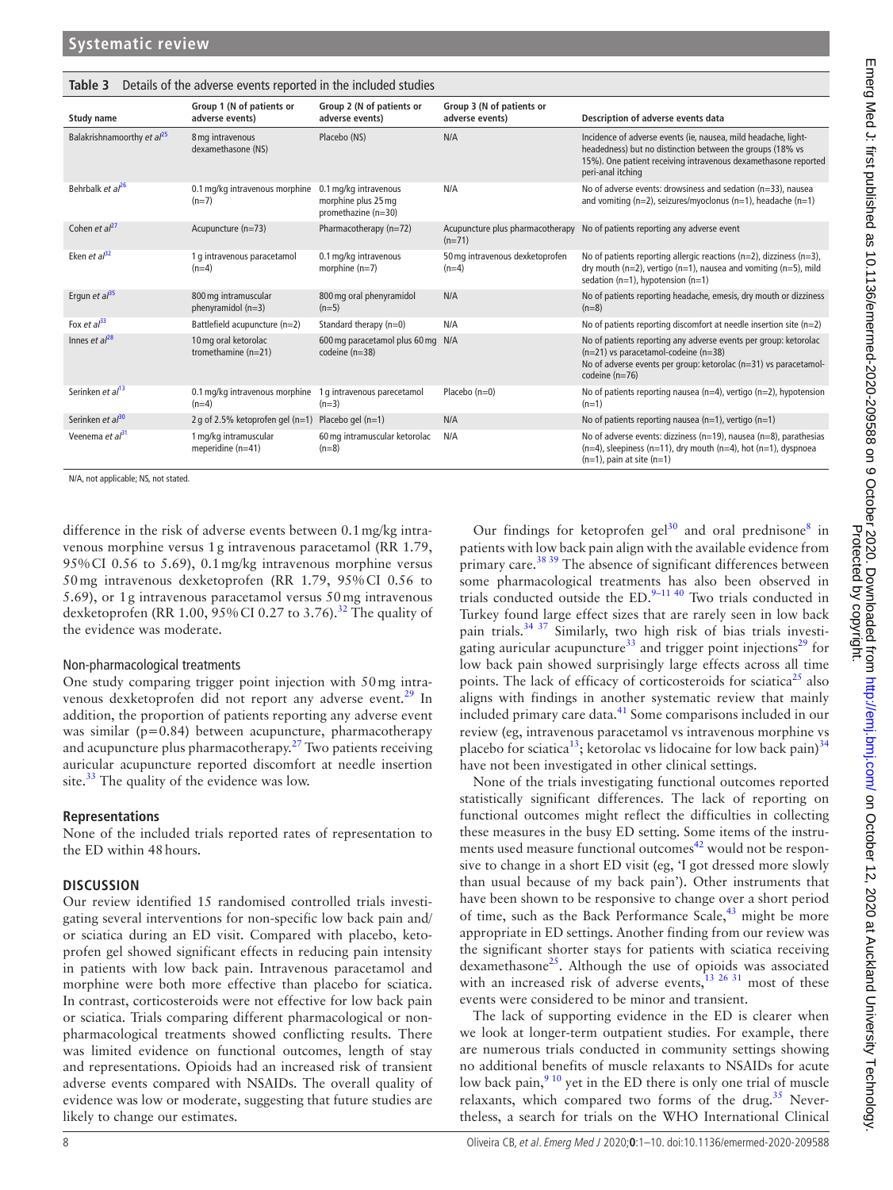| <b>Study name</b>                      | Group 1 (N of patients or<br>adverse events)  | Group 2 (N of patients or<br>adverse events)                        | Group 3 (N of patients or<br>adverse events) | Description of adverse events data                                                                                                                                                                                 |
|----------------------------------------|-----------------------------------------------|---------------------------------------------------------------------|----------------------------------------------|--------------------------------------------------------------------------------------------------------------------------------------------------------------------------------------------------------------------|
| Balakrishnamoorthy et al <sup>25</sup> | 8 mg intravenous<br>dexamethasone (NS)        | Placebo (NS)                                                        | N/A                                          | Incidence of adverse events (ie, nausea, mild headache, light-<br>headedness) but no distinction between the groups (18% vs<br>15%). One patient receiving intravenous dexamethasone reported<br>peri-anal itching |
| Behrbalk et al <sup>26</sup>           | 0.1 mg/kg intravenous morphine<br>$(n=7)$     | 0.1 mg/kg intravenous<br>morphine plus 25 mg<br>promethazine (n=30) | N/A                                          | No of adverse events: drowsiness and sedation (n=33), nausea<br>and vomiting ( $n=2$ ), seizures/myoclonus ( $n=1$ ), headache ( $n=1$ )                                                                           |
| Cohen et $al^{27}$                     | Acupuncture (n=73)                            | Pharmacotherapy (n=72)                                              | $(n=71)$                                     | Acupuncture plus pharmacotherapy No of patients reporting any adverse event                                                                                                                                        |
| Eken et $a^{32}$                       | 1 g intravenous paracetamol<br>$(n=4)$        | 0.1 mg/kg intravenous<br>morphine $(n=7)$                           | 50 mg intravenous dexketoprofen<br>$(n=4)$   | No of patients reporting allergic reactions ( $n=2$ ), dizziness ( $n=3$ ),<br>dry mouth ( $n=2$ ), vertigo ( $n=1$ ), nausea and vomiting ( $n=5$ ), mild<br>sedation ( $n=1$ ), hypotension ( $n=1$ )            |
| Ergun et $a^{35}$                      | 800 mg intramuscular<br>phenyramidol (n=3)    | 800 mg oral phenyramidol<br>$(n=5)$                                 | N/A                                          | No of patients reporting headache, emesis, dry mouth or dizziness<br>$(n=8)$                                                                                                                                       |
| Fox et $a^{33}$                        | Battlefield acupuncture (n=2)                 | Standard therapy (n=0)                                              | N/A                                          | No of patients reporting discomfort at needle insertion site $(n=2)$                                                                                                                                               |
| Innes et $al^{28}$                     | 10 mg oral ketorolac<br>tromethamine $(n=21)$ | 600 mg paracetamol plus 60 mg N/A<br>codeine $(n=38)$               |                                              | No of patients reporting any adverse events per group: ketorolac<br>(n=21) vs paracetamol-codeine (n=38)<br>No of adverse events per group: ketorolac (n=31) vs paracetamol-<br>codeine $(n=76)$                   |
| Serinken et al <sup>13</sup>           | 0.1 mg/kg intravenous morphine<br>$(n=4)$     | 1 g intravenous parecetamol<br>$(n=3)$                              | Placebo $(n=0)$                              | No of patients reporting nausea (n=4), vertigo (n=2), hypotension<br>$(n=1)$                                                                                                                                       |
| Serinken et $a^{30}$                   | 2 g of 2.5% ketoprofen gel $(n=1)$            | Placebo gel $(n=1)$                                                 | N/A                                          | No of patients reporting nausea (n=1), vertigo (n=1)                                                                                                                                                               |
| Veenema et al <sup>31</sup>            | 1 mg/kg intramuscular<br>meperidine $(n=41)$  | 60 mg intramuscular ketorolac<br>$(n=8)$                            | N/A                                          | No of adverse events: dizziness (n=19), nausea (n=8), parathesias<br>$(n=4)$ , sleepiness $(n=11)$ , dry mouth $(n=4)$ , hot $(n=1)$ , dyspnoea<br>$(n=1)$ , pain at site $(n=1)$                                  |

N/A, not applicable; NS, not stated.

difference in the risk of adverse events between 0.1mg/kg intravenous morphine versus 1g intravenous paracetamol (RR 1.79, 95%CI 0.56 to 5.69), 0.1mg/kg intravenous morphine versus 50mg intravenous dexketoprofen (RR 1.79, 95%CI 0.56 to 5.69), or 1g intravenous paracetamol versus 50mg intravenous dexketoprofen (RR 1.00, 95% CI 0.27 to 3.76).<sup>[32](#page-9-19)</sup> The quality of the evidence was moderate.

<span id="page-7-0"></span>**Table 3** Details of the adverse events reported in the included studies

#### Non-pharmacological treatments

One study comparing trigger point injection with 50mg intra-venous dexketoprofen did not report any adverse event.<sup>[29](#page-9-15)</sup> In addition, the proportion of patients reporting any adverse event was similar (p=0.84) between acupuncture, pharmacotherapy and acupuncture plus pharmacotherapy.<sup>[27](#page-9-12)</sup> Two patients receiving auricular acupuncture reported discomfort at needle insertion site. $33$  The quality of the evidence was low.

#### **Representations**

None of the included trials reported rates of representation to the ED within 48hours.

### **DISCUSSION**

Our review identified 15 randomised controlled trials investigating several interventions for non-specific low back pain and/ or sciatica during an ED visit. Compared with placebo, ketoprofen gel showed significant effects in reducing pain intensity in patients with low back pain. Intravenous paracetamol and morphine were both more effective than placebo for sciatica. In contrast, corticosteroids were not effective for low back pain or sciatica. Trials comparing different pharmacological or nonpharmacological treatments showed conflicting results. There was limited evidence on functional outcomes, length of stay and representations. Opioids had an increased risk of transient adverse events compared with NSAIDs. The overall quality of evidence was low or moderate, suggesting that future studies are likely to change our estimates.

Our findings for ketoprofen gel<sup>[30](#page-9-20)</sup> and oral prednisone<sup>[8](#page-8-6)</sup> in patients with low back pain align with the available evidence from primary care.<sup>38 39</sup> The absence of significant differences between some pharmacological treatments has also been observed in trials conducted outside the  $ED.<sup>9-11 40</sup>$  Two trials conducted in Turkey found large effect sizes that are rarely seen in low back pain trials.[34 37](#page-9-22) Similarly, two high risk of bias trials investi-gating auricular acupuncture<sup>[33](#page-9-16)</sup> and trigger point injections<sup>29</sup> for low back pain showed surprisingly large effects across all time points. The lack of efficacy of corticosteroids for sciatica<sup>[25](#page-9-18)</sup> also aligns with findings in another systematic review that mainly included primary care data.<sup>41</sup> Some comparisons included in our review (eg, intravenous paracetamol vs intravenous morphine vs placebo for sciatica<sup>[13](#page-9-9)</sup>; ketorolac vs lidocaine for low back pain)<sup>[34](#page-9-22)</sup> have not been investigated in other clinical settings.

None of the trials investigating functional outcomes reported statistically significant differences. The lack of reporting on functional outcomes might reflect the difficulties in collecting these measures in the busy ED setting. Some items of the instruments used measure functional outcomes $42$  would not be responsive to change in a short ED visit (eg, 'I got dressed more slowly than usual because of my back pain'). Other instruments that have been shown to be responsive to change over a short period of time, such as the Back Performance Scale, $43$  might be more appropriate in ED settings. Another finding from our review was the significant shorter stays for patients with sciatica receiving dexamethasone<sup>25</sup>. Although the use of opioids was associated with an increased risk of adverse events, $\frac{13}{13}$   $\frac{26}{31}$  most of these events were considered to be minor and transient.

The lack of supporting evidence in the ED is clearer when we look at longer-term outpatient studies. For example, there are numerous trials conducted in community settings showing no additional benefits of muscle relaxants to NSAIDs for acute low back pain, $910$  yet in the ED there is only one trial of muscle relaxants, which compared two forms of the drug.<sup>[35](#page-9-11)</sup> Nevertheless, a search for trials on the WHO International Clinical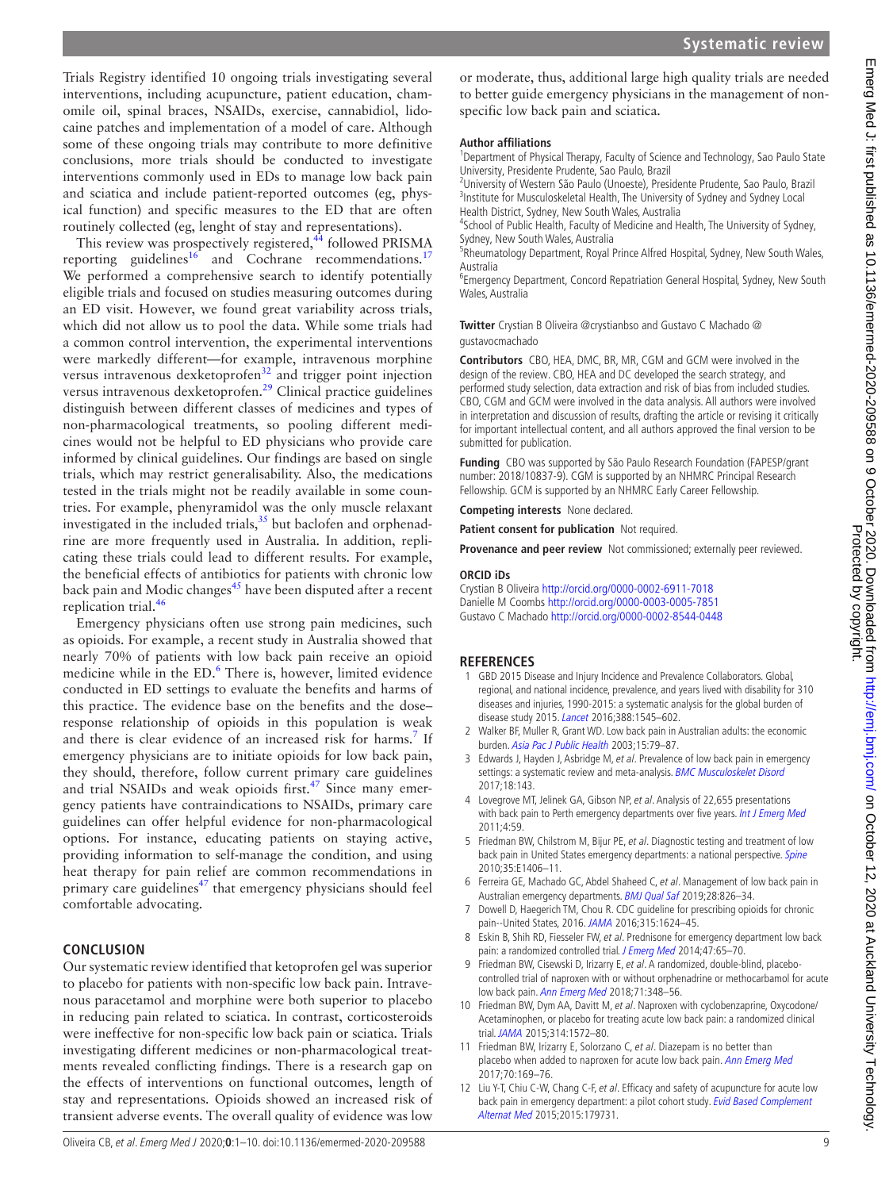Trials Registry identified 10 ongoing trials investigating several interventions, including acupuncture, patient education, chamomile oil, spinal braces, NSAIDs, exercise, cannabidiol, lidocaine patches and implementation of a model of care. Although some of these ongoing trials may contribute to more definitive conclusions, more trials should be conducted to investigate interventions commonly used in EDs to manage low back pain and sciatica and include patient-reported outcomes (eg, physical function) and specific measures to the ED that are often routinely collected (eg, lenght of stay and representations).

This review was prospectively registered,<sup>44</sup> followed PRISMA reporting guidelines<sup>[16](#page-9-2)</sup> and Cochrane recommendations.<sup>[17](#page-9-3)</sup> We performed a comprehensive search to identify potentially eligible trials and focused on studies measuring outcomes during an ED visit. However, we found great variability across trials, which did not allow us to pool the data. While some trials had a common control intervention, the experimental interventions were markedly different—for example, intravenous morphine versus intravenous dexketoprofen<sup>[32](#page-9-19)</sup> and trigger point injection versus intravenous dexketoprofen.[29](#page-9-15) Clinical practice guidelines distinguish between different classes of medicines and types of non-pharmacological treatments, so pooling different medicines would not be helpful to ED physicians who provide care informed by clinical guidelines. Our findings are based on single trials, which may restrict generalisability. Also, the medications tested in the trials might not be readily available in some countries. For example, phenyramidol was the only muscle relaxant investigated in the included trials,<sup>35</sup> but baclofen and orphenadrine are more frequently used in Australia. In addition, replicating these trials could lead to different results. For example, the beneficial effects of antibiotics for patients with chronic low back pain and Modic changes $45$  have been disputed after a recent replication trial.<sup>46</sup>

Emergency physicians often use strong pain medicines, such as opioids. For example, a recent study in Australia showed that nearly 70% of patients with low back pain receive an opioid medicine while in the ED.<sup>[6](#page-8-8)</sup> There is, however, limited evidence conducted in ED settings to evaluate the benefits and harms of this practice. The evidence base on the benefits and the dose– response relationship of opioids in this population is weak and there is clear evidence of an increased risk for harms.<sup>[7](#page-8-5)</sup> If emergency physicians are to initiate opioids for low back pain, they should, therefore, follow current primary care guidelines and trial NSAIDs and weak opioids first. $47$  Since many emergency patients have contraindications to NSAIDs, primary care guidelines can offer helpful evidence for non-pharmacological options. For instance, educating patients on staying active, providing information to self-manage the condition, and using heat therapy for pain relief are common recommendations in primary care guidelines<sup> $47$ </sup> that emergency physicians should feel comfortable advocating.

### **CONCLUSION**

Our systematic review identified that ketoprofen gel was superior to placebo for patients with non-specific low back pain. Intravenous paracetamol and morphine were both superior to placebo in reducing pain related to sciatica. In contrast, corticosteroids were ineffective for non-specific low back pain or sciatica. Trials investigating different medicines or non-pharmacological treatments revealed conflicting findings. There is a research gap on the effects of interventions on functional outcomes, length of stay and representations. Opioids showed an increased risk of transient adverse events. The overall quality of evidence was low

or moderate, thus, additional large high quality trials are needed to better guide emergency physicians in the management of nonspecific low back pain and sciatica.

#### **Author affiliations**

<sup>1</sup>Department of Physical Therapy, Faculty of Science and Technology, Sao Paulo State University, Presidente Prudente, Sao Paulo, Brazil

<sup>2</sup>University of Western São Paulo (Unoeste), Presidente Prudente, Sao Paulo, Brazil <sup>3</sup>Institute for Musculoskeletal Health, The University of Sydney and Sydney Local Health District, Sydney, New South Wales, Australia

<sup>4</sup>School of Public Health, Faculty of Medicine and Health, The University of Sydney, Sydney, New South Wales, Australia

<sup>5</sup>Rheumatology Department, Royal Prince Alfred Hospital, Sydney, New South Wales, Australia

6 Emergency Department, Concord Repatriation General Hospital, Sydney, New South Wales, Australia

**Twitter** Crystian B Oliveira [@crystianbso](https://twitter.com/crystianbso) and Gustavo C Machado [@](https://twitter.com/gustavocmachado) [gustavocmachado](https://twitter.com/gustavocmachado)

**Contributors** CBO, HEA, DMC, BR, MR, CGM and GCM were involved in the design of the review. CBO, HEA and DC developed the search strategy, and performed study selection, data extraction and risk of bias from included studies. CBO, CGM and GCM were involved in the data analysis. All authors were involved in interpretation and discussion of results, drafting the article or revising it critically for important intellectual content, and all authors approved the final version to be submitted for publication.

**Funding** CBO was supported by São Paulo Research Foundation (FAPESP/grant number: 2018/10837-9). CGM is supported by an NHMRC Principal Research Fellowship. GCM is supported by an NHMRC Early Career Fellowship.

**Competing interests** None declared.

**Patient consent for publication** Not required.

**Provenance and peer review** Not commissioned; externally peer reviewed.

#### **ORCID iDs**

Crystian B Oliveira <http://orcid.org/0000-0002-6911-7018> Danielle M Coombs <http://orcid.org/0000-0003-0005-7851> Gustavo C Machado <http://orcid.org/0000-0002-8544-0448>

#### **REFERENCES**

- <span id="page-8-0"></span>1 GBD 2015 Disease and Injury Incidence and Prevalence Collaborators. Global, regional, and national incidence, prevalence, and years lived with disability for 310 diseases and injuries, 1990-2015: a systematic analysis for the global burden of disease study 2015. [Lancet](http://dx.doi.org/10.1016/S0140-6736(16)31678-6) 2016;388:1545–602.
- <span id="page-8-1"></span>2 Walker BF, Muller R, Grant WD. Low back pain in Australian adults: the economic burden. [Asia Pac J Public Health](http://dx.doi.org/10.1177/101053950301500202) 2003;15:79–87.
- <span id="page-8-2"></span>3 Edwards J, Hayden J, Asbridge M, et al. Prevalence of low back pain in emergency settings: a systematic review and meta-analysis. [BMC Musculoskelet Disord](http://dx.doi.org/10.1186/s12891-017-1511-7) 2017;18:143.
- <span id="page-8-3"></span>4 Lovegrove MT, Jelinek GA, Gibson NP, et al. Analysis of 22,655 presentations with back pain to Perth emergency departments over five years. [Int J Emerg Med](http://dx.doi.org/10.1186/1865-1380-4-59) 2011;4:59.
- <span id="page-8-4"></span>5 Friedman BW, Chilstrom M, Bijur PE, et al. Diagnostic testing and treatment of low back pain in United States emergency departments: a national perspective. [Spine](http://dx.doi.org/10.1097/BRS.0b013e3181d952a5) 2010;35:E1406–11.
- <span id="page-8-8"></span>6 Ferreira GE, Machado GC, Abdel Shaheed C, et al. Management of low back pain in Australian emergency departments. **[BMJ Qual Saf](http://dx.doi.org/10.1136/bmjqs-2019-009383) 2019;28:826-34**.
- <span id="page-8-5"></span>7 Dowell D, Haegerich TM, Chou R. CDC guideline for prescribing opioids for chronic pain--United States, 2016. [JAMA](http://dx.doi.org/10.1001/jama.2016.1464) 2016;315:1624–45.
- <span id="page-8-6"></span>8 Eskin B, Shih RD, Fiesseler FW, et al. Prednisone for emergency department low back pain: a randomized controlled trial. [J Emerg Med](http://dx.doi.org/10.1016/j.jemermed.2014.02.010) 2014;47:65-70.
- <span id="page-8-9"></span>9 Friedman BW, Cisewski D, Irizarry E, et al. A randomized, double-blind, placebocontrolled trial of naproxen with or without orphenadrine or methocarbamol for acute low back pain. [Ann Emerg Med](http://dx.doi.org/10.1016/j.annemergmed.2017.09.031) 2018;71:348-56.
- <span id="page-8-7"></span>10 Friedman BW, Dym AA, Davitt M, et al. Naproxen with cyclobenzaprine, Oxycodone/ Acetaminophen, or placebo for treating acute low back pain: a randomized clinical trial. [JAMA](http://dx.doi.org/10.1001/jama.2015.13043) 2015;314:1572–80.
- 11 Friedman BW, Irizarry E, Solorzano C, et al. Diazepam is no better than placebo when added to naproxen for acute low back pain. [Ann Emerg Med](http://dx.doi.org/10.1016/j.annemergmed.2016.10.002) 2017;70:169–76.
- 12 Liu Y-T, Chiu C-W, Chang C-F, et al. Efficacy and safety of acupuncture for acute low back pain in emergency department: a pilot cohort study. Evid Based Complement [Alternat Med](http://dx.doi.org/10.1155/2015/179731) 2015;2015:179731.